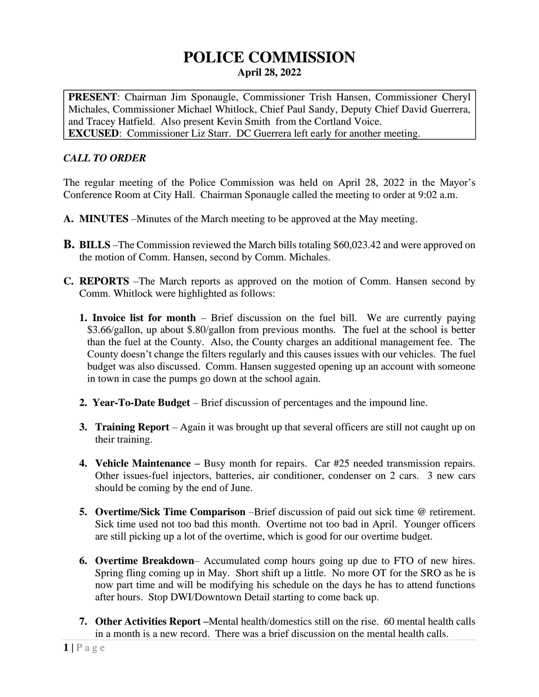# **POLICE COMMISSION April 28, 2022**

**PRESENT**: Chairman Jim Sponaugle, Commissioner Trish Hansen, Commissioner Cheryl Michales, Commissioner Michael Whitlock, Chief Paul Sandy, Deputy Chief David Guerrera, and Tracey Hatfield. Also present Kevin Smith from the Cortland Voice. **EXCUSED**: Commissioner Liz Starr. DC Guerrera left early for another meeting.

# *CALL TO ORDER*

The regular meeting of the Police Commission was held on April 28, 2022 in the Mayor's Conference Room at City Hall. Chairman Sponaugle called the meeting to order at 9:02 a.m.

- **A. MINUTES** –Minutes of the March meeting to be approved at the May meeting.
- **B. BILLS** –The Commission reviewed the March bills totaling \$60,023.42 and were approved on the motion of Comm. Hansen, second by Comm. Michales.
- **C. REPORTS** –The March reports as approved on the motion of Comm. Hansen second by Comm. Whitlock were highlighted as follows:
	- **1. Invoice list for month** Brief discussion on the fuel bill. We are currently paying \$3.66/gallon, up about \$.80/gallon from previous months. The fuel at the school is better than the fuel at the County. Also, the County charges an additional management fee. The County doesn't change the filters regularly and this causes issues with our vehicles. The fuel budget was also discussed. Comm. Hansen suggested opening up an account with someone in town in case the pumps go down at the school again.
	- **2. Year-To-Date Budget** Brief discussion of percentages and the impound line.
	- **3. Training Report** Again it was brought up that several officers are still not caught up on their training.
	- **4. Vehicle Maintenance –** Busy month for repairs. Car #25 needed transmission repairs. Other issues-fuel injectors, batteries, air conditioner, condenser on 2 cars. 3 new cars should be coming by the end of June.
	- **5. Overtime/Sick Time Comparison** –Brief discussion of paid out sick time @ retirement. Sick time used not too bad this month. Overtime not too bad in April. Younger officers are still picking up a lot of the overtime, which is good for our overtime budget.
	- **6. Overtime Breakdown** Accumulated comp hours going up due to FTO of new hires. Spring fling coming up in May. Short shift up a little. No more OT for the SRO as he is now part time and will be modifying his schedule on the days he has to attend functions after hours. Stop DWI/Downtown Detail starting to come back up.
	- **7. Other Activities Report –**Mental health/domestics still on the rise. 60 mental health calls in a month is a new record. There was a brief discussion on the mental health calls.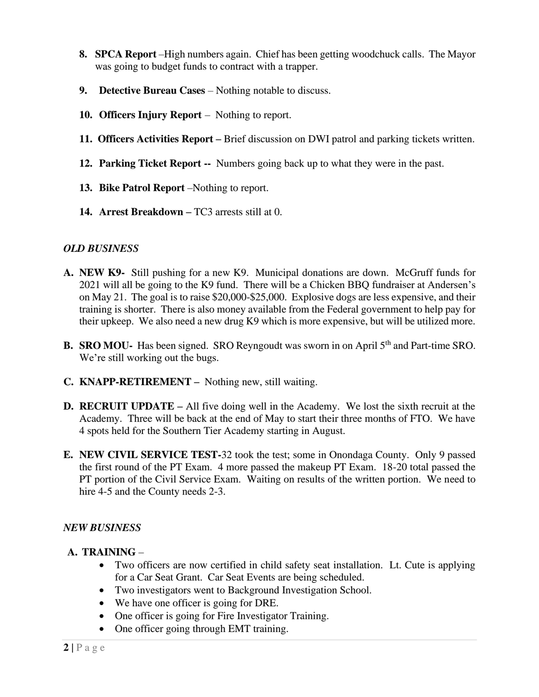- **8. SPCA Report** –High numbers again. Chief has been getting woodchuck calls. The Mayor was going to budget funds to contract with a trapper.
- **9. Detective Bureau Cases**  Nothing notable to discuss.
- **10. Officers Injury Report** Nothing to report.
- **11. Officers Activities Report –** Brief discussion on DWI patrol and parking tickets written.
- **12. Parking Ticket Report --** Numbers going back up to what they were in the past.
- **13. Bike Patrol Report** –Nothing to report.
- **14. Arrest Breakdown –** TC3 arrests still at 0.

## *OLD BUSINESS*

- **A. NEW K9-** Still pushing for a new K9. Municipal donations are down. McGruff funds for 2021 will all be going to the K9 fund. There will be a Chicken BBQ fundraiser at Andersen's on May 21. The goal is to raise \$20,000-\$25,000. Explosive dogs are less expensive, and their training is shorter. There is also money available from the Federal government to help pay for their upkeep. We also need a new drug K9 which is more expensive, but will be utilized more.
- **B. SRO MOU-** Has been signed. SRO Reyngoudt was sworn in on April 5<sup>th</sup> and Part-time SRO. We're still working out the bugs.
- **C. KNAPP-RETIREMENT** Nothing new, still waiting.
- **D. RECRUIT UPDATE** All five doing well in the Academy. We lost the sixth recruit at the Academy. Three will be back at the end of May to start their three months of FTO. We have 4 spots held for the Southern Tier Academy starting in August.
- **E. NEW CIVIL SERVICE TEST-**32 took the test; some in Onondaga County. Only 9 passed the first round of the PT Exam. 4 more passed the makeup PT Exam. 18-20 total passed the PT portion of the Civil Service Exam. Waiting on results of the written portion. We need to hire 4-5 and the County needs 2-3.

## *NEW BUSINESS*

## **A. TRAINING** –

- Two officers are now certified in child safety seat installation. Lt. Cute is applying for a Car Seat Grant. Car Seat Events are being scheduled.
- Two investigators went to Background Investigation School.
- We have one officer is going for DRE.
- One officer is going for Fire Investigator Training.
- One officer going through EMT training.